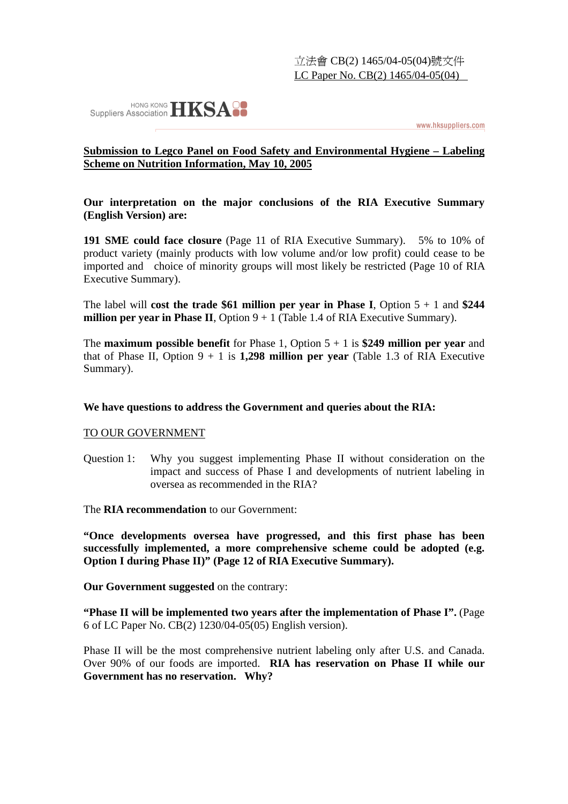

www.hksuppliers.com

## **Submission to Legco Panel on Food Safety and Environmental Hygiene – Labeling Scheme on Nutrition Information, May 10, 2005**

**Our interpretation on the major conclusions of the RIA Executive Summary (English Version) are:** 

**191 SME could face closure** (Page 11 of RIA Executive Summary). 5% to 10% of product variety (mainly products with low volume and/or low profit) could cease to be imported and choice of minority groups will most likely be restricted (Page 10 of RIA Executive Summary).

The label will **cost the trade \$61 million per year in Phase I**, Option 5 + 1 and **\$244 million per year in Phase II**, Option  $9 + 1$  (Table 1.4 of RIA Executive Summary).

The **maximum possible benefit** for Phase 1, Option 5 + 1 is **\$249 million per year** and that of Phase II, Option  $9 + 1$  is **1,298 million per year** (Table 1.3 of RIA Executive Summary).

## **We have questions to address the Government and queries about the RIA:**

## TO OUR GOVERNMENT

Question 1: Why you suggest implementing Phase II without consideration on the impact and success of Phase I and developments of nutrient labeling in oversea as recommended in the RIA?

The **RIA recommendation** to our Government:

**"Once developments oversea have progressed, and this first phase has been successfully implemented, a more comprehensive scheme could be adopted (e.g. Option I during Phase II)" (Page 12 of RIA Executive Summary).** 

**Our Government suggested** on the contrary:

**"Phase II will be implemented two years after the implementation of Phase I".** (Page 6 of LC Paper No. CB(2) 1230/04-05(05) English version).

Phase II will be the most comprehensive nutrient labeling only after U.S. and Canada. Over 90% of our foods are imported. **RIA has reservation on Phase II while our Government has no reservation. Why?**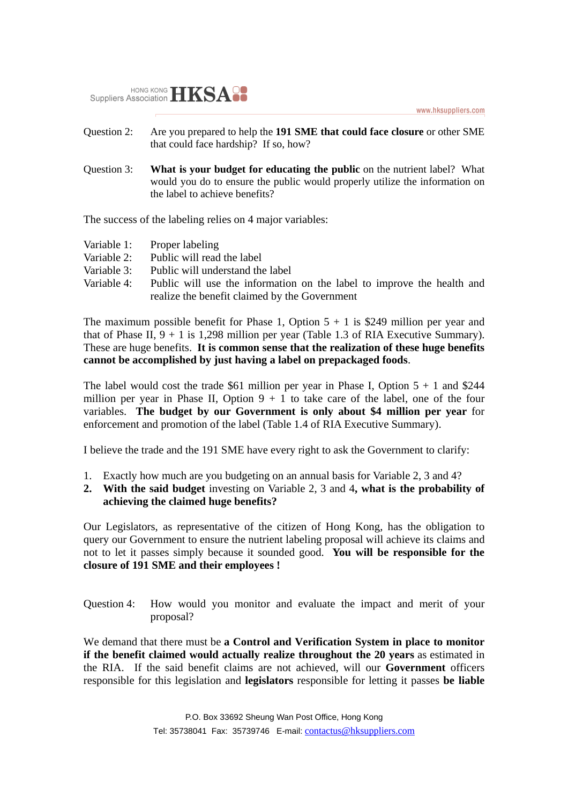www.hksuppliers.com



- Question 2: Are you prepared to help the **191 SME that could face closure** or other SME that could face hardship? If so, how?
- Question 3: **What is your budget for educating the public** on the nutrient label? What would you do to ensure the public would properly utilize the information on the label to achieve benefits?

The success of the labeling relies on 4 major variables:

- Variable 1: Proper labeling
- Variable 2: Public will read the label
- Variable 3: Public will understand the label
- Variable 4: Public will use the information on the label to improve the health and realize the benefit claimed by the Government

The maximum possible benefit for Phase 1, Option  $5 + 1$  is \$249 million per year and that of Phase II,  $9 + 1$  is 1,298 million per year (Table 1.3 of RIA Executive Summary). These are huge benefits. **It is common sense that the realization of these huge benefits cannot be accomplished by just having a label on prepackaged foods**.

The label would cost the trade \$61 million per year in Phase I, Option  $5 + 1$  and \$244 million per year in Phase II, Option  $9 + 1$  to take care of the label, one of the four variables. **The budget by our Government is only about \$4 million per year** for enforcement and promotion of the label (Table 1.4 of RIA Executive Summary).

I believe the trade and the 191 SME have every right to ask the Government to clarify:

- 1. Exactly how much are you budgeting on an annual basis for Variable 2, 3 and 4?
- **2. With the said budget** investing on Variable 2, 3 and 4**, what is the probability of achieving the claimed huge benefits?**

Our Legislators, as representative of the citizen of Hong Kong, has the obligation to query our Government to ensure the nutrient labeling proposal will achieve its claims and not to let it passes simply because it sounded good. **You will be responsible for the closure of 191 SME and their employees !** 

Question 4: How would you monitor and evaluate the impact and merit of your proposal?

We demand that there must be **a Control and Verification System in place to monitor if the benefit claimed would actually realize throughout the 20 years** as estimated in the RIA. If the said benefit claims are not achieved, will our **Government** officers responsible for this legislation and **legislators** responsible for letting it passes **be liable**